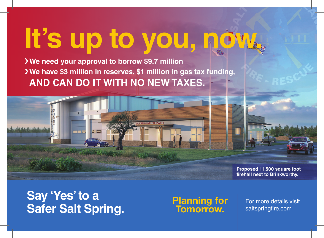# **It's up to you, now.**

›**We need your approval to borrow \$9.7 million** ›**We have \$3 million in reserves, \$1 million in gas tax funding, AND CAN DO IT WITH NO NEW TAXES.**



**Proposed 11,500 square foot firehall next to Brinkworthy.**

### **Say 'Yes' to a Safer Salt Spring.** Planning for<br>**Safer Salt Spring.** Tomorrow.

# Tomorrow.

For more details visit saltspringfire.com